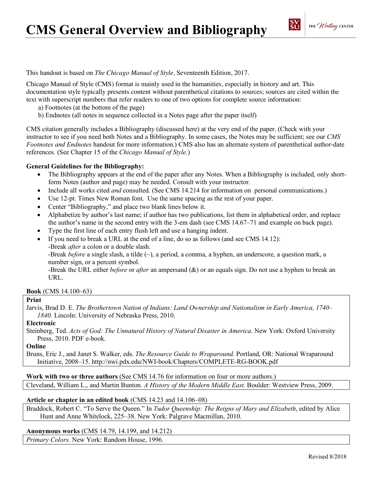This handout is based on *The Chicago Manual of Style,* Seventeenth Edition, 2017.

Chicago Manual of Style (CMS) format is mainly used in the humanities, especially in history and art. This documentation style typically presents content without parenthetical citations to sources; sources are cited within the text with superscript numbers that refer readers to one of two options for complete source information:

a) Footnotes (at the bottom of the page)

b) Endnotes (all notes in sequence collected in a Notes page after the paper itself)

CMS citation generally includes a Bibliography (discussed here) at the very end of the paper. (Check with your instructor to see if you need both Notes and a Bibliography. In some cases, the Notes may be sufficient; see our *CMS Footnotes and Endnotes* handout for more information.) CMS also has an alternate system of parenthetical author-date references. (See Chapter 15 of the *Chicago Manual of Style.*)

# **General Guidelines for the Bibliography:**

- The Bibliography appears at the end of the paper after any Notes. When a Bibliography is included, only shortform Notes (author and page) may be needed. Consult with your instructor.
- Include all works cited *and* consulted. (See CMS 14.214 for information on personal communications.)
- Use 12-pt. Times New Roman font. Use the same spacing as the rest of your paper.
- Center "Bibliography," and place two blank lines below it.
- Alphabetize by author's last name; if author has two publications, list them in alphabetical order, and replace the author's name in the second entry with the 3-em dash (see CMS 14.67–71 and example on back page).
- Type the first line of each entry flush left and use a hanging indent.
- If you need to break a URL at the end of a line, do so as follows (and see CMS 14.12): -Break *after* a colon or a double slash.

-Break *before* a single slash, a tilde (~), a period, a comma, a hyphen, an underscore, a question mark, a number sign, or a percent symbol.

-Break the URL either *before* or *after* an ampersand (&) or an equals sign. Do not use a hyphen to break an URL.

**Book** (CMS 14.100–63)

# **Print**

Jarvis, Brad D. E. *The Brothertown Nation of Indians: Land Ownership and Nationalism in Early America, 1740– 1840.* Lincoln: University of Nebraska Press, 2010.

## **Electronic**

Steinberg, Ted. *Acts of God: The Unnatural History of Natural Disaster in America.* New York: Oxford University Press, 2010. PDF e-book.

## **Online**

Bruns, Eric J., and Janet S. Walker, eds. *The Resource Guide to Wraparound.* Portland, OR: National Wraparound Initiative, 2008–15. http://nwi.pdx.edu/NWI-book/Chapters/COMPLETE-RG-BOOK.pdf

**Work with two or three authors** (See CMS 14.76 for information on four or more authors.) Cleveland, William L., and Martin Bunton. *A History of the Modern Middle East.* Boulder: Westview Press, 2009.

### **Article or chapter in an edited book** (CMS 14.23 and 14.106–08)

Braddock, Robert C. "To Serve the Queen." In *Tudor Queenship: The Reigns of Mary and Elizabeth*, edited by Alice Hunt and Anne Whitelock, 225–38. New York: Palgrave Macmillan, 2010.

# **Anonymous works** (CMS 14.79, 14.199, and 14.212)

*Primary Colors.* New York: Random House, 1996.